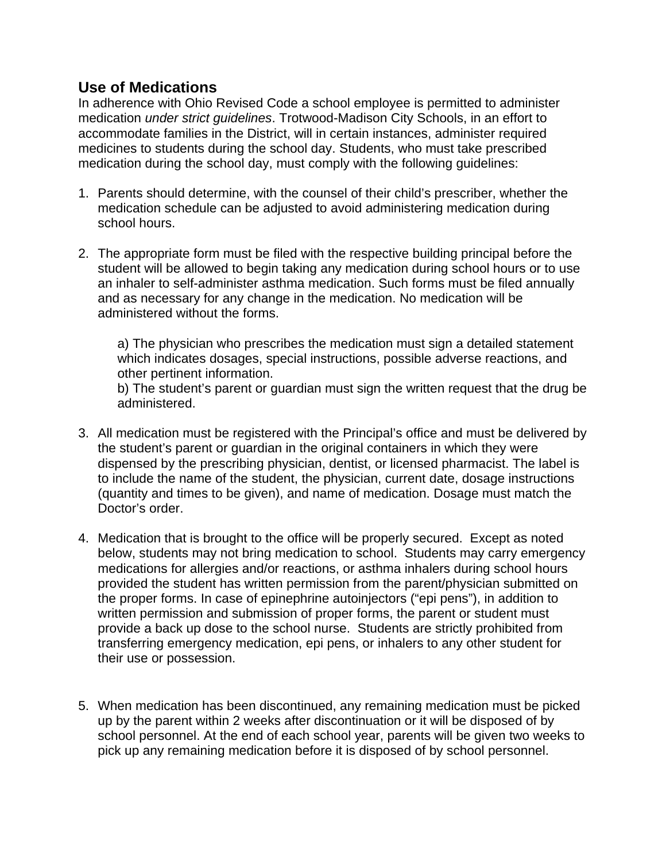## **Use of Medications**

In adherence with Ohio Revised Code a school employee is permitted to administer medication *under strict guidelines*. Trotwood-Madison City Schools, in an effort to accommodate families in the District, will in certain instances, administer required medicines to students during the school day. Students, who must take prescribed medication during the school day, must comply with the following guidelines:

- 1. Parents should determine, with the counsel of their child's prescriber, whether the medication schedule can be adjusted to avoid administering medication during school hours.
- 2. The appropriate form must be filed with the respective building principal before the student will be allowed to begin taking any medication during school hours or to use an inhaler to self-administer asthma medication. Such forms must be filed annually and as necessary for any change in the medication. No medication will be administered without the forms.

a) The physician who prescribes the medication must sign a detailed statement which indicates dosages, special instructions, possible adverse reactions, and other pertinent information.

b) The student's parent or guardian must sign the written request that the drug be administered.

- 3. All medication must be registered with the Principal's office and must be delivered by the student's parent or guardian in the original containers in which they were dispensed by the prescribing physician, dentist, or licensed pharmacist. The label is to include the name of the student, the physician, current date, dosage instructions (quantity and times to be given), and name of medication. Dosage must match the Doctor's order.
- 4. Medication that is brought to the office will be properly secured. Except as noted below, students may not bring medication to school. Students may carry emergency medications for allergies and/or reactions, or asthma inhalers during school hours provided the student has written permission from the parent/physician submitted on the proper forms. In case of epinephrine autoinjectors ("epi pens"), in addition to written permission and submission of proper forms, the parent or student must provide a back up dose to the school nurse. Students are strictly prohibited from transferring emergency medication, epi pens, or inhalers to any other student for their use or possession.
- 5. When medication has been discontinued, any remaining medication must be picked up by the parent within 2 weeks after discontinuation or it will be disposed of by school personnel. At the end of each school year, parents will be given two weeks to pick up any remaining medication before it is disposed of by school personnel.